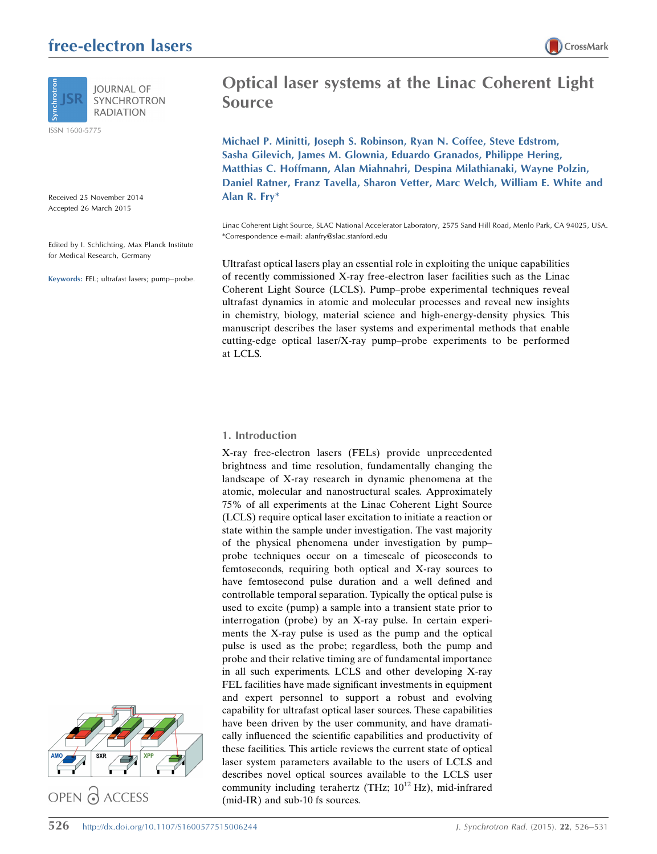# free-electron lasers





ISSN 1600-5775

Received 25 November 2014 Accepted 26 March 2015

Edited by I. Schlichting, Max Planck Institute for Medical Research, Germany

Keywords: FEL; ultrafast lasers; pump–probe.

## Optical laser systems at the Linac Coherent Light Source

Michael P. Minitti, Joseph S. Robinson, Ryan N. Coffee, Steve Edstrom, Sasha Gilevich, James M. Glownia, Eduardo Granados, Philippe Hering, Matthias C. Hoffmann, Alan Miahnahri, Despina Milathianaki, Wayne Polzin, Daniel Ratner, Franz Tavella, Sharon Vetter, Marc Welch, William E. White and Alan R. Fry\*

Linac Coherent Light Source, SLAC National Accelerator Laboratory, 2575 Sand Hill Road, Menlo Park, CA 94025, USA. \*Correspondence e-mail: alanfry@slac.stanford.edu

Ultrafast optical lasers play an essential role in exploiting the unique capabilities of recently commissioned X-ray free-electron laser facilities such as the Linac Coherent Light Source (LCLS). Pump–probe experimental techniques reveal ultrafast dynamics in atomic and molecular processes and reveal new insights in chemistry, biology, material science and high-energy-density physics. This manuscript describes the laser systems and experimental methods that enable cutting-edge optical laser/X-ray pump–probe experiments to be performed at LCLS.

#### 1. Introduction

X-ray free-electron lasers (FELs) provide unprecedented brightness and time resolution, fundamentally changing the landscape of X-ray research in dynamic phenomena at the atomic, molecular and nanostructural scales. Approximately 75% of all experiments at the Linac Coherent Light Source (LCLS) require optical laser excitation to initiate a reaction or state within the sample under investigation. The vast majority of the physical phenomena under investigation by pump– probe techniques occur on a timescale of picoseconds to femtoseconds, requiring both optical and X-ray sources to have femtosecond pulse duration and a well defined and controllable temporal separation. Typically the optical pulse is used to excite (pump) a sample into a transient state prior to interrogation (probe) by an X-ray pulse. In certain experiments the X-ray pulse is used as the pump and the optical pulse is used as the probe; regardless, both the pump and probe and their relative timing are of fundamental importance in all such experiments. LCLS and other developing X-ray FEL facilities have made significant investments in equipment and expert personnel to support a robust and evolving capability for ultrafast optical laser sources. These capabilities have been driven by the user community, and have dramatically influenced the scientific capabilities and productivity of these facilities. This article reviews the current state of optical laser system parameters available to the users of LCLS and describes novel optical sources available to the LCLS user community including terahertz (THz;  $10^{12}$  Hz), mid-infrared (mid-IR) and sub-10 fs sources.

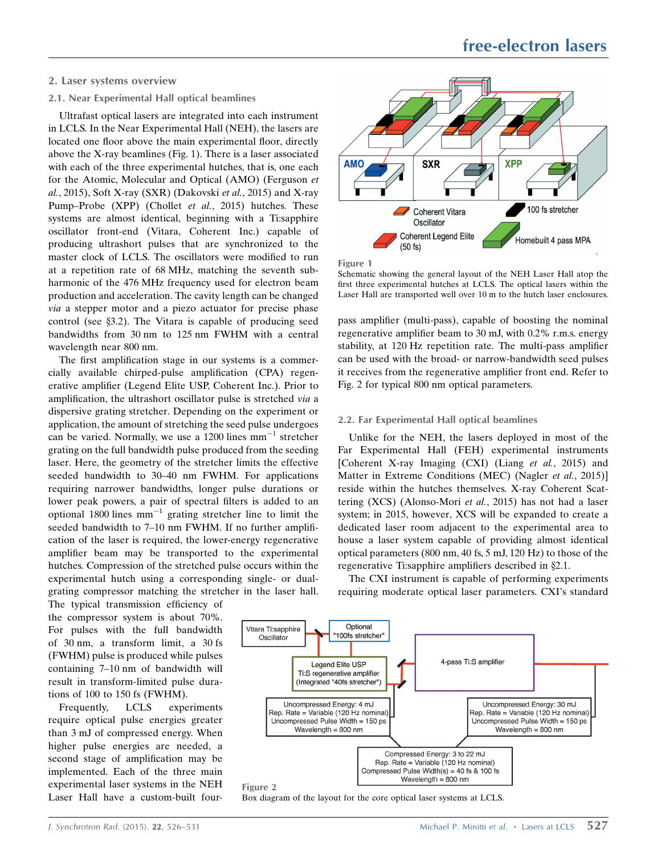#### 2. Laser systems overview

## 2.1. Near Experimental Hall optical beamlines

Ultrafast optical lasers are integrated into each instrument in LCLS. In the Near Experimental Hall (NEH), the lasers are located one floor above the main experimental floor, directly above the X-ray beamlines (Fig. 1). There is a laser associated with each of the three experimental hutches, that is, one each for the Atomic, Molecular and Optical (AMO) (Ferguson et  $al., 2015$ ), Soft X-ray (SXR) (Dakovski et  $al., 2015$ ) and X-ray Pump–Probe (XPP) (Chollet et al., 2015) hutches. These systems are almost identical, beginning with a Ti:sapphire oscillator front-end (Vitara, Coherent Inc.) capable of producing ultrashort pulses that are synchronized to the master clock of LCLS. The oscillators were modified to run at a repetition rate of 68 MHz, matching the seventh subharmonic of the 476 MHz frequency used for electron beam production and acceleration. The cavity length can be changed via a stepper motor and a piezo actuator for precise phase control (see  $\S$ 3.2). The Vitara is capable of producing seed bandwidths from 30 nm to 125 nm FWHM with a central wavelength near 800 nm.

The first amplification stage in our systems is a commercially available chirped-pulse amplification (CPA) regenerative amplifier (Legend Elite USP, Coherent Inc.). Prior to amplification, the ultrashort oscillator pulse is stretched via a dispersive grating stretcher. Depending on the experiment or application, the amount of stretching the seed pulse undergoes can be varied. Normally, we use a 1200 lines mm-<sup>1</sup> stretcher grating on the full bandwidth pulse produced from the seeding laser. Here, the geometry of the stretcher limits the effective seeded bandwidth to 30–40 nm FWHM. For applications requiring narrower bandwidths, longer pulse durations or lower peak powers, a pair of spectral filters is added to an optional 1800 lines  $mm^{-1}$  grating stretcher line to limit the seeded bandwidth to 7–10 nm FWHM. If no further amplification of the laser is required, the lower-energy regenerative amplifier beam may be transported to the experimental hutches. Compression of the stretched pulse occurs within the experimental hutch using a corresponding single- or dualgrating compressor matching the stretcher in the laser hall.

The typical transmission efficiency of the compressor system is about 70%. For pulses with the full bandwidth of 30 nm, a transform limit, a 30 fs (FWHM) pulse is produced while pulses containing 7–10 nm of bandwidth will result in transform-limited pulse durations of 100 to 150 fs (FWHM).

Frequently, LCLS experiments require optical pulse energies greater than 3 mJ of compressed energy. When higher pulse energies are needed, a second stage of amplification may be implemented. Each of the three main experimental laser systems in the NEH Laser Hall have a custom-built four-



Figure 1

Schematic showing the general layout of the NEH Laser Hall atop the first three experimental hutches at LCLS. The optical lasers within the Laser Hall are transported well over 10 m to the hutch laser enclosures.

pass amplifier (multi-pass), capable of boosting the nominal regenerative amplifier beam to 30 mJ, with 0.2% r.m.s. energy stability, at 120 Hz repetition rate. The multi-pass amplifier can be used with the broad- or narrow-bandwidth seed pulses it receives from the regenerative amplifier front end. Refer to Fig. 2 for typical 800 nm optical parameters.

### 2.2. Far Experimental Hall optical beamlines

Unlike for the NEH, the lasers deployed in most of the Far Experimental Hall (FEH) experimental instruments [Coherent X-ray Imaging (CXI) (Liang et al., 2015) and Matter in Extreme Conditions (MEC) (Nagler et al., 2015)] reside within the hutches themselves. X-ray Coherent Scattering (XCS) (Alonso-Mori et al., 2015) has not had a laser system; in 2015, however, XCS will be expanded to create a dedicated laser room adjacent to the experimental area to house a laser system capable of providing almost identical optical parameters (800 nm, 40 fs, 5 mJ, 120 Hz) to those of the regenerative Ti:sapphire amplifiers described in  $\S 2.1$ .

The CXI instrument is capable of performing experiments requiring moderate optical laser parameters. CXI's standard



Box diagram of the layout for the core optical laser systems at LCLS.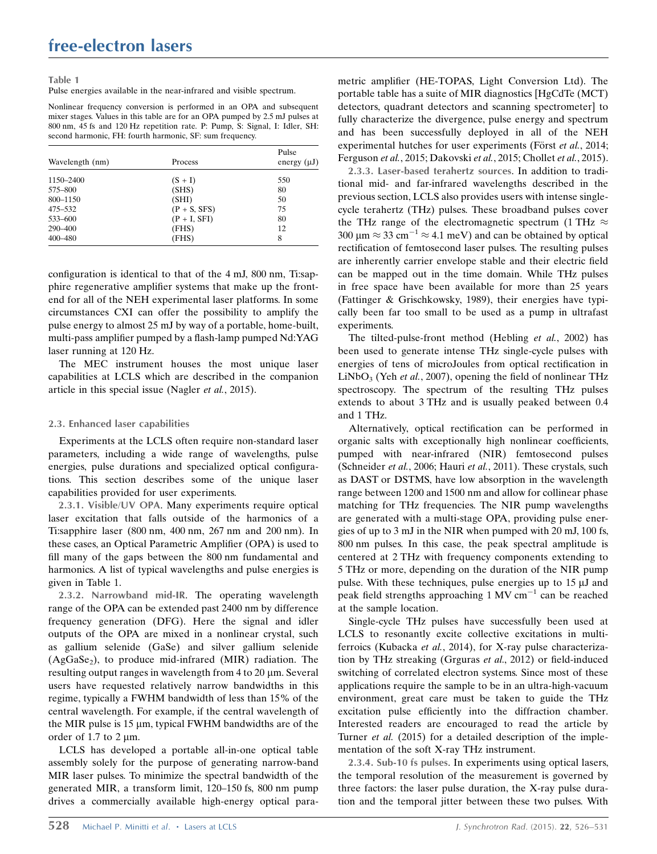#### Table 1

Pulse energies available in the near-infrared and visible spectrum.

Nonlinear frequency conversion is performed in an OPA and subsequent mixer stages. Values in this table are for an OPA pumped by 2.5 mJ pulses at 800 nm, 45 fs and 120 Hz repetition rate. P: Pump, S: Signal, I: Idler, SH: second harmonic, FH: fourth harmonic, SF: sum frequency.

| Wavelength (nm) | Process        | Pulse<br>energy $(\mu J)$ |
|-----------------|----------------|---------------------------|
| 1150-2400       | $(S + I)$      | 550                       |
| 575-800         | (SHS)          | 80                        |
| 800-1150        | (SHI)          | 50                        |
| 475–532         | $(P + S, SFS)$ | 75                        |
| 533-600         | $(P + I, SFI)$ | 80                        |
| 290-400         | (FHS)          | 12                        |
| 400-480         | (FHS)          | 8                         |

configuration is identical to that of the 4 mJ, 800 nm, Ti:sapphire regenerative amplifier systems that make up the frontend for all of the NEH experimental laser platforms. In some circumstances CXI can offer the possibility to amplify the pulse energy to almost 25 mJ by way of a portable, home-built, multi-pass amplifier pumped by a flash-lamp pumped Nd:YAG laser running at 120 Hz.

The MEC instrument houses the most unique laser capabilities at LCLS which are described in the companion article in this special issue (Nagler et al., 2015).

#### 2.3. Enhanced laser capabilities

Experiments at the LCLS often require non-standard laser parameters, including a wide range of wavelengths, pulse energies, pulse durations and specialized optical configurations. This section describes some of the unique laser capabilities provided for user experiments.

2.3.1. Visible/UV OPA. Many experiments require optical laser excitation that falls outside of the harmonics of a Ti:sapphire laser (800 nm, 400 nm, 267 nm and 200 nm). In these cases, an Optical Parametric Amplifier (OPA) is used to fill many of the gaps between the 800 nm fundamental and harmonics. A list of typical wavelengths and pulse energies is given in Table 1.

2.3.2. Narrowband mid-IR. The operating wavelength range of the OPA can be extended past 2400 nm by difference frequency generation (DFG). Here the signal and idler outputs of the OPA are mixed in a nonlinear crystal, such as gallium selenide (GaSe) and silver gallium selenide  $(AgGaSe<sub>2</sub>)$ , to produce mid-infrared (MIR) radiation. The resulting output ranges in wavelength from  $4$  to  $20 \mu m$ . Several users have requested relatively narrow bandwidths in this regime, typically a FWHM bandwidth of less than 15% of the central wavelength. For example, if the central wavelength of the MIR pulse is 15  $\mu$ m, typical FWHM bandwidths are of the order of 1.7 to 2  $\mu$ m.

LCLS has developed a portable all-in-one optical table assembly solely for the purpose of generating narrow-band MIR laser pulses. To minimize the spectral bandwidth of the generated MIR, a transform limit, 120–150 fs, 800 nm pump drives a commercially available high-energy optical parametric amplifier (HE-TOPAS, Light Conversion Ltd). The portable table has a suite of MIR diagnostics [HgCdTe (MCT) detectors, quadrant detectors and scanning spectrometer] to fully characterize the divergence, pulse energy and spectrum and has been successfully deployed in all of the NEH experimental hutches for user experiments (Först et al., 2014; Ferguson et al., 2015; Dakovski et al., 2015; Chollet et al., 2015).

2.3.3. Laser-based terahertz sources. In addition to traditional mid- and far-infrared wavelengths described in the previous section, LCLS also provides users with intense singlecycle terahertz (THz) pulses. These broadband pulses cover the THz range of the electromagnetic spectrum (1 THz  $\approx$ 300  $\mu$ m  $\approx$  33 cm<sup>-1</sup>  $\approx$  4.1 meV) and can be obtained by optical rectification of femtosecond laser pulses. The resulting pulses are inherently carrier envelope stable and their electric field can be mapped out in the time domain. While THz pulses in free space have been available for more than 25 years (Fattinger & Grischkowsky, 1989), their energies have typically been far too small to be used as a pump in ultrafast experiments.

The tilted-pulse-front method (Hebling et al., 2002) has been used to generate intense THz single-cycle pulses with energies of tens of microJoules from optical rectification in LiNbO<sub>3</sub> (Yeh *et al.*, 2007), opening the field of nonlinear THz spectroscopy. The spectrum of the resulting THz pulses extends to about 3 THz and is usually peaked between 0.4 and 1 THz.

Alternatively, optical rectification can be performed in organic salts with exceptionally high nonlinear coefficients, pumped with near-infrared (NIR) femtosecond pulses (Schneider et al., 2006; Hauri et al., 2011). These crystals, such as DAST or DSTMS, have low absorption in the wavelength range between 1200 and 1500 nm and allow for collinear phase matching for THz frequencies. The NIR pump wavelengths are generated with a multi-stage OPA, providing pulse energies of up to 3 mJ in the NIR when pumped with 20 mJ, 100 fs, 800 nm pulses. In this case, the peak spectral amplitude is centered at 2 THz with frequency components extending to 5 THz or more, depending on the duration of the NIR pump pulse. With these techniques, pulse energies up to  $15 \mu J$  and peak field strengths approaching  $1 \text{ MV cm}^{-1}$  can be reached at the sample location.

Single-cycle THz pulses have successfully been used at LCLS to resonantly excite collective excitations in multiferroics (Kubacka et al., 2014), for X-ray pulse characterization by THz streaking (Grguras et al., 2012) or field-induced switching of correlated electron systems. Since most of these applications require the sample to be in an ultra-high-vacuum environment, great care must be taken to guide the THz excitation pulse efficiently into the diffraction chamber. Interested readers are encouraged to read the article by Turner et al. (2015) for a detailed description of the implementation of the soft X-ray THz instrument.

2.3.4. Sub-10 fs pulses. In experiments using optical lasers, the temporal resolution of the measurement is governed by three factors: the laser pulse duration, the X-ray pulse duration and the temporal jitter between these two pulses. With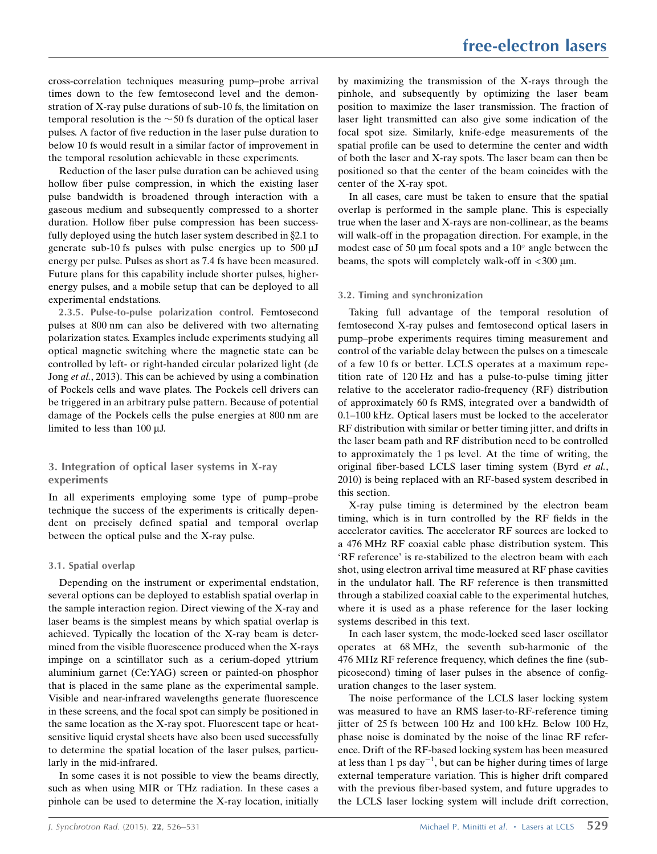cross-correlation techniques measuring pump–probe arrival times down to the few femtosecond level and the demonstration of X-ray pulse durations of sub-10 fs, the limitation on temporal resolution is the  $\sim$  50 fs duration of the optical laser pulses. A factor of five reduction in the laser pulse duration to below 10 fs would result in a similar factor of improvement in the temporal resolution achievable in these experiments.

Reduction of the laser pulse duration can be achieved using hollow fiber pulse compression, in which the existing laser pulse bandwidth is broadened through interaction with a gaseous medium and subsequently compressed to a shorter duration. Hollow fiber pulse compression has been successfully deployed using the hutch laser system described in  $\S 2.1$  to generate sub-10 fs pulses with pulse energies up to  $500 \mu J$ energy per pulse. Pulses as short as 7.4 fs have been measured. Future plans for this capability include shorter pulses, higherenergy pulses, and a mobile setup that can be deployed to all experimental endstations.

2.3.5. Pulse-to-pulse polarization control. Femtosecond pulses at 800 nm can also be delivered with two alternating polarization states. Examples include experiments studying all optical magnetic switching where the magnetic state can be controlled by left- or right-handed circular polarized light (de Jong et al., 2013). This can be achieved by using a combination of Pockels cells and wave plates. The Pockels cell drivers can be triggered in an arbitrary pulse pattern. Because of potential damage of the Pockels cells the pulse energies at 800 nm are limited to less than  $100 \mu J$ .

### 3. Integration of optical laser systems in X-ray experiments

In all experiments employing some type of pump–probe technique the success of the experiments is critically dependent on precisely defined spatial and temporal overlap between the optical pulse and the X-ray pulse.

#### 3.1. Spatial overlap

Depending on the instrument or experimental endstation, several options can be deployed to establish spatial overlap in the sample interaction region. Direct viewing of the X-ray and laser beams is the simplest means by which spatial overlap is achieved. Typically the location of the X-ray beam is determined from the visible fluorescence produced when the X-rays impinge on a scintillator such as a cerium-doped yttrium aluminium garnet (Ce:YAG) screen or painted-on phosphor that is placed in the same plane as the experimental sample. Visible and near-infrared wavelengths generate fluorescence in these screens, and the focal spot can simply be positioned in the same location as the X-ray spot. Fluorescent tape or heatsensitive liquid crystal sheets have also been used successfully to determine the spatial location of the laser pulses, particularly in the mid-infrared.

In some cases it is not possible to view the beams directly, such as when using MIR or THz radiation. In these cases a pinhole can be used to determine the X-ray location, initially

by maximizing the transmission of the X-rays through the pinhole, and subsequently by optimizing the laser beam position to maximize the laser transmission. The fraction of laser light transmitted can also give some indication of the focal spot size. Similarly, knife-edge measurements of the spatial profile can be used to determine the center and width of both the laser and X-ray spots. The laser beam can then be positioned so that the center of the beam coincides with the center of the X-ray spot.

In all cases, care must be taken to ensure that the spatial overlap is performed in the sample plane. This is especially true when the laser and X-rays are non-collinear, as the beams will walk-off in the propagation direction. For example, in the modest case of 50  $\mu$ m focal spots and a 10 $\degree$  angle between the beams, the spots will completely walk-off in  $\langle 300 \mu m \rangle$ .

## 3.2. Timing and synchronization

Taking full advantage of the temporal resolution of femtosecond X-ray pulses and femtosecond optical lasers in pump–probe experiments requires timing measurement and control of the variable delay between the pulses on a timescale of a few 10 fs or better. LCLS operates at a maximum repetition rate of 120 Hz and has a pulse-to-pulse timing jitter relative to the accelerator radio-frequency (RF) distribution of approximately 60 fs RMS, integrated over a bandwidth of 0.1–100 kHz. Optical lasers must be locked to the accelerator RF distribution with similar or better timing jitter, and drifts in the laser beam path and RF distribution need to be controlled to approximately the 1 ps level. At the time of writing, the original fiber-based LCLS laser timing system (Byrd et al., 2010) is being replaced with an RF-based system described in this section.

X-ray pulse timing is determined by the electron beam timing, which is in turn controlled by the RF fields in the accelerator cavities. The accelerator RF sources are locked to a 476 MHz RF coaxial cable phase distribution system. This 'RF reference' is re-stabilized to the electron beam with each shot, using electron arrival time measured at RF phase cavities in the undulator hall. The RF reference is then transmitted through a stabilized coaxial cable to the experimental hutches, where it is used as a phase reference for the laser locking systems described in this text.

In each laser system, the mode-locked seed laser oscillator operates at 68 MHz, the seventh sub-harmonic of the 476 MHz RF reference frequency, which defines the fine (subpicosecond) timing of laser pulses in the absence of configuration changes to the laser system.

The noise performance of the LCLS laser locking system was measured to have an RMS laser-to-RF-reference timing jitter of 25 fs between 100 Hz and 100 kHz. Below 100 Hz, phase noise is dominated by the noise of the linac RF reference. Drift of the RF-based locking system has been measured at less than 1 ps day<sup>-1</sup>, but can be higher during times of large external temperature variation. This is higher drift compared with the previous fiber-based system, and future upgrades to the LCLS laser locking system will include drift correction,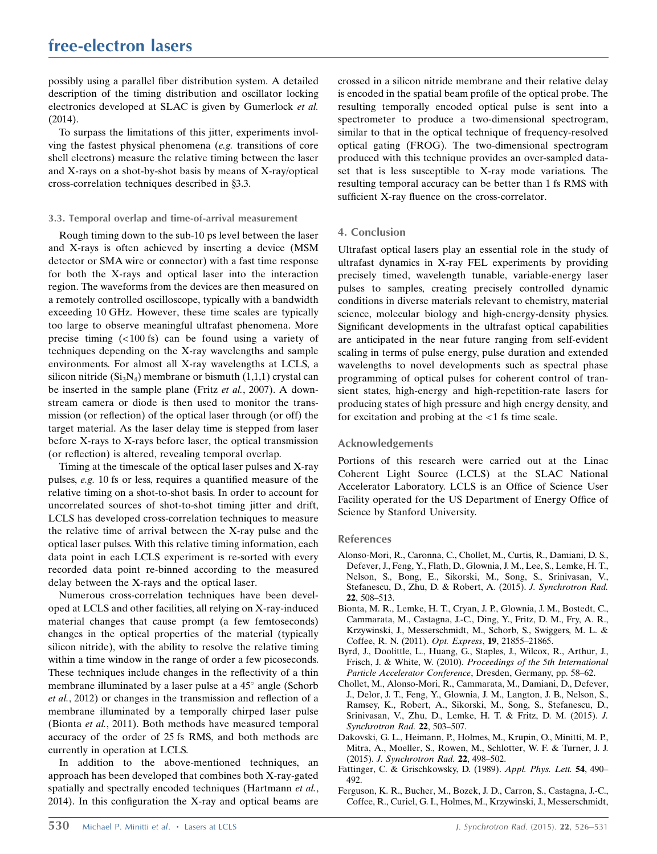possibly using a parallel fiber distribution system. A detailed description of the timing distribution and oscillator locking electronics developed at SLAC is given by Gumerlock et al. (2014).

To surpass the limitations of this jitter, experiments involving the fastest physical phenomena (e.g. transitions of core shell electrons) measure the relative timing between the laser and X-rays on a shot-by-shot basis by means of X-ray/optical cross-correlation techniques described in §3.3.

#### 3.3. Temporal overlap and time-of-arrival measurement

Rough timing down to the sub-10 ps level between the laser and X-rays is often achieved by inserting a device (MSM detector or SMA wire or connector) with a fast time response for both the X-rays and optical laser into the interaction region. The waveforms from the devices are then measured on a remotely controlled oscilloscope, typically with a bandwidth exceeding 10 GHz. However, these time scales are typically too large to observe meaningful ultrafast phenomena. More precise timing (<100 fs) can be found using a variety of techniques depending on the X-ray wavelengths and sample environments. For almost all X-ray wavelengths at LCLS, a silicon nitride  $(Si_3N_4)$  membrane or bismuth  $(1,1,1)$  crystal can be inserted in the sample plane (Fritz *et al.*, 2007). A downstream camera or diode is then used to monitor the transmission (or reflection) of the optical laser through (or off) the target material. As the laser delay time is stepped from laser before X-rays to X-rays before laser, the optical transmission (or reflection) is altered, revealing temporal overlap.

Timing at the timescale of the optical laser pulses and X-ray pulses, e.g. 10 fs or less, requires a quantified measure of the relative timing on a shot-to-shot basis. In order to account for uncorrelated sources of shot-to-shot timing jitter and drift, LCLS has developed cross-correlation techniques to measure the relative time of arrival between the X-ray pulse and the optical laser pulses. With this relative timing information, each data point in each LCLS experiment is re-sorted with every recorded data point re-binned according to the measured delay between the X-rays and the optical laser.

Numerous cross-correlation techniques have been developed at LCLS and other facilities, all relying on X-ray-induced material changes that cause prompt (a few femtoseconds) changes in the optical properties of the material (typically silicon nitride), with the ability to resolve the relative timing within a time window in the range of order a few picoseconds. These techniques include changes in the reflectivity of a thin membrane illuminated by a laser pulse at a  $45^{\circ}$  angle (Schorb et al., 2012) or changes in the transmission and reflection of a membrane illuminated by a temporally chirped laser pulse (Bionta et al., 2011). Both methods have measured temporal accuracy of the order of 25 fs RMS, and both methods are currently in operation at LCLS.

In addition to the above-mentioned techniques, an approach has been developed that combines both X-ray-gated spatially and spectrally encoded techniques (Hartmann et al., 2014). In this configuration the X-ray and optical beams are

crossed in a silicon nitride membrane and their relative delay is encoded in the spatial beam profile of the optical probe. The resulting temporally encoded optical pulse is sent into a spectrometer to produce a two-dimensional spectrogram, similar to that in the optical technique of frequency-resolved optical gating (FROG). The two-dimensional spectrogram produced with this technique provides an over-sampled dataset that is less susceptible to X-ray mode variations. The resulting temporal accuracy can be better than 1 fs RMS with sufficient X-ray fluence on the cross-correlator.

### 4. Conclusion

Ultrafast optical lasers play an essential role in the study of ultrafast dynamics in X-ray FEL experiments by providing precisely timed, wavelength tunable, variable-energy laser pulses to samples, creating precisely controlled dynamic conditions in diverse materials relevant to chemistry, material science, molecular biology and high-energy-density physics. Significant developments in the ultrafast optical capabilities are anticipated in the near future ranging from self-evident scaling in terms of pulse energy, pulse duration and extended wavelengths to novel developments such as spectral phase programming of optical pulses for coherent control of transient states, high-energy and high-repetition-rate lasers for producing states of high pressure and high energy density, and for excitation and probing at the <1 fs time scale.

#### Acknowledgements

Portions of this research were carried out at the Linac Coherent Light Source (LCLS) at the SLAC National Accelerator Laboratory. LCLS is an Office of Science User Facility operated for the US Department of Energy Office of Science by Stanford University.

#### References

- [Alonso-Mori, R., Caronna, C., Chollet, M., Curtis, R., Damiani, D. S.,](http://scripts.iucr.org/cgi-bin/cr.cgi?rm=pdfbb&cnor=ig5030&bbid=BB1) [Defever, J., Feng, Y., Flath, D., Glownia, J. M., Lee, S., Lemke, H. T.,](http://scripts.iucr.org/cgi-bin/cr.cgi?rm=pdfbb&cnor=ig5030&bbid=BB1) [Nelson, S., Bong, E., Sikorski, M., Song, S., Srinivasan, V.,](http://scripts.iucr.org/cgi-bin/cr.cgi?rm=pdfbb&cnor=ig5030&bbid=BB1) [Stefanescu, D., Zhu, D. & Robert, A. \(2015\).](http://scripts.iucr.org/cgi-bin/cr.cgi?rm=pdfbb&cnor=ig5030&bbid=BB1) J. Synchrotron Rad. 22[, 508–513.](http://scripts.iucr.org/cgi-bin/cr.cgi?rm=pdfbb&cnor=ig5030&bbid=BB1)
- [Bionta, M. R., Lemke, H. T., Cryan, J. P., Glownia, J. M., Bostedt, C.,](http://scripts.iucr.org/cgi-bin/cr.cgi?rm=pdfbb&cnor=ig5030&bbid=BB2) [Cammarata, M., Castagna, J.-C., Ding, Y., Fritz, D. M., Fry, A. R.,](http://scripts.iucr.org/cgi-bin/cr.cgi?rm=pdfbb&cnor=ig5030&bbid=BB2) [Krzywinski, J., Messerschmidt, M., Schorb, S., Swiggers, M. L. &](http://scripts.iucr.org/cgi-bin/cr.cgi?rm=pdfbb&cnor=ig5030&bbid=BB2) [Coffee, R. N. \(2011\).](http://scripts.iucr.org/cgi-bin/cr.cgi?rm=pdfbb&cnor=ig5030&bbid=BB2) Opt. Express, 19, 21855–21865.
- [Byrd, J., Doolittle, L., Huang, G., Staples, J., Wilcox, R., Arthur, J.,](http://scripts.iucr.org/cgi-bin/cr.cgi?rm=pdfbb&cnor=ig5030&bbid=BB3) Frisch, J. & White, W. (2010). [Proceedings of the 5th International](http://scripts.iucr.org/cgi-bin/cr.cgi?rm=pdfbb&cnor=ig5030&bbid=BB3) Particle Accelerator Conference[, Dresden, Germany, pp. 58–62.](http://scripts.iucr.org/cgi-bin/cr.cgi?rm=pdfbb&cnor=ig5030&bbid=BB3)
- [Chollet, M., Alonso-Mori, R., Cammarata, M., Damiani, D., Defever,](http://scripts.iucr.org/cgi-bin/cr.cgi?rm=pdfbb&cnor=ig5030&bbid=BB4) [J., Delor, J. T., Feng, Y., Glownia, J. M., Langton, J. B., Nelson, S.,](http://scripts.iucr.org/cgi-bin/cr.cgi?rm=pdfbb&cnor=ig5030&bbid=BB4) [Ramsey, K., Robert, A., Sikorski, M., Song, S., Stefanescu, D.,](http://scripts.iucr.org/cgi-bin/cr.cgi?rm=pdfbb&cnor=ig5030&bbid=BB4) [Srinivasan, V., Zhu, D., Lemke, H. T. & Fritz, D. M. \(2015\).](http://scripts.iucr.org/cgi-bin/cr.cgi?rm=pdfbb&cnor=ig5030&bbid=BB4) J. [Synchrotron Rad.](http://scripts.iucr.org/cgi-bin/cr.cgi?rm=pdfbb&cnor=ig5030&bbid=BB4) 22, 503–507.
- [Dakovski, G. L., Heimann, P., Holmes, M., Krupin, O., Minitti, M. P.,](http://scripts.iucr.org/cgi-bin/cr.cgi?rm=pdfbb&cnor=ig5030&bbid=BB5) [Mitra, A., Moeller, S., Rowen, M., Schlotter, W. F. & Turner, J. J.](http://scripts.iucr.org/cgi-bin/cr.cgi?rm=pdfbb&cnor=ig5030&bbid=BB5) (2015). [J. Synchrotron Rad.](http://scripts.iucr.org/cgi-bin/cr.cgi?rm=pdfbb&cnor=ig5030&bbid=BB5) 22, 498–502.
- [Fattinger, C. & Grischkowsky, D. \(1989\).](http://scripts.iucr.org/cgi-bin/cr.cgi?rm=pdfbb&cnor=ig5030&bbid=BB6) Appl. Phys. Lett. 54, 490– [492.](http://scripts.iucr.org/cgi-bin/cr.cgi?rm=pdfbb&cnor=ig5030&bbid=BB6)
- [Ferguson, K. R., Bucher, M., Bozek, J. D., Carron, S., Castagna, J.-C.,](http://scripts.iucr.org/cgi-bin/cr.cgi?rm=pdfbb&cnor=ig5030&bbid=BB7) [Coffee, R., Curiel, G. I., Holmes, M., Krzywinski, J., Messerschmidt,](http://scripts.iucr.org/cgi-bin/cr.cgi?rm=pdfbb&cnor=ig5030&bbid=BB7)